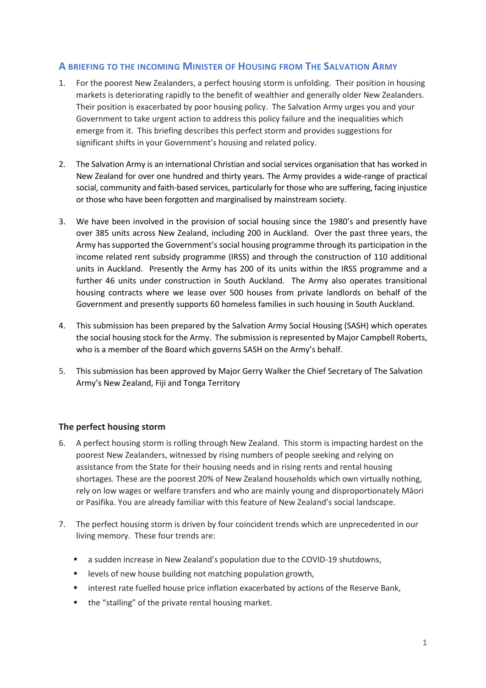# **A BRIEFING TO THE INCOMING MINISTER OF HOUSING FROM THE SALVATION ARMY**

- 1. For the poorest New Zealanders, a perfect housing storm is unfolding. Their position in housing markets is deteriorating rapidly to the benefit of wealthier and generally older New Zealanders. Their position is exacerbated by poor housing policy. The Salvation Army urges you and your Government to take urgent action to address this policy failure and the inequalities which emerge from it. This briefing describes this perfect storm and provides suggestions for significant shifts in your Government's housing and related policy.
- 2. The Salvation Army is an international Christian and social services organisation that has worked in New Zealand for over one hundred and thirty years. The Army provides a wide-range of practical social, community and faith-based services, particularly for those who are suffering, facing injustice or those who have been forgotten and marginalised by mainstream society.
- 3. We have been involved in the provision of social housing since the 1980's and presently have over 385 units across New Zealand, including 200 in Auckland. Over the past three years, the Army has supported the Government's social housing programme through its participation in the income related rent subsidy programme (IRSS) and through the construction of 110 additional units in Auckland. Presently the Army has 200 of its units within the IRSS programme and a further 46 units under construction in South Auckland. The Army also operates transitional housing contracts where we lease over 500 houses from private landlords on behalf of the Government and presently supports 60 homeless families in such housing in South Auckland.
- 4. This submission has been prepared by the Salvation Army Social Housing (SASH) which operates the social housing stock for the Army. The submission is represented by Major Campbell Roberts, who is a member of the Board which governs SASH on the Army's behalf.
- 5. This submission has been approved by Major Gerry Walker the Chief Secretary of The Salvation Army's New Zealand, Fiji and Tonga Territory

# **The perfect housing storm**

- 6. A perfect housing storm is rolling through New Zealand. This storm is impacting hardest on the poorest New Zealanders, witnessed by rising numbers of people seeking and relying on assistance from the State for their housing needs and in rising rents and rental housing shortages. These are the poorest 20% of New Zealand households which own virtually nothing, rely on low wages or welfare transfers and who are mainly young and disproportionately Māori or Pasifika. You are already familiar with this feature of New Zealand's social landscape.
- 7. The perfect housing storm is driven by four coincident trends which are unprecedented in our living memory. These four trends are:
	- a sudden increase in New Zealand's population due to the COVID-19 shutdowns,
	- levels of new house building not matching population growth,
	- **■** interest rate fuelled house price inflation exacerbated by actions of the Reserve Bank,
	- the "stalling" of the private rental housing market.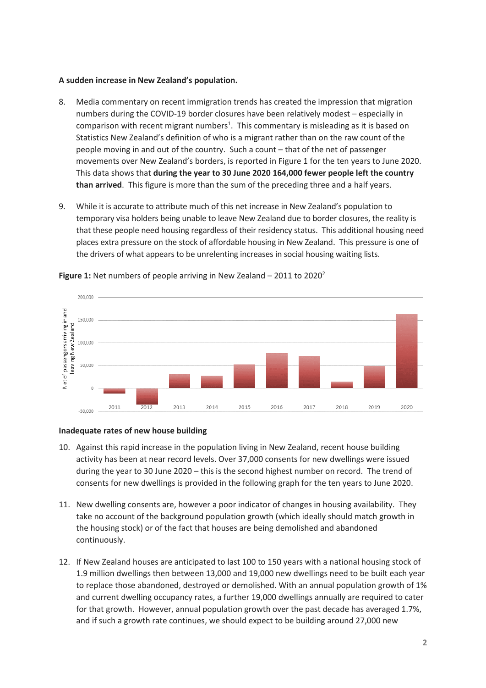#### **A sudden increase in New Zealand's population.**

- 8. Media commentary on recent immigration trends has created the impression that migration numbers during the COVID-19 border closures have been relatively modest – especially in comparison with recent migrant numbers<sup>1</sup>. This commentary is misleading as it is based on Statistics New Zealand's definition of who is a migrant rather than on the raw count of the people moving in and out of the country. Such a count – that of the net of passenger movements over New Zealand's borders, is reported in Figure 1 for the ten years to June 2020. This data shows that **during the year to 30 June 2020 164,000 fewer people left the country than arrived**. This figure is more than the sum of the preceding three and a half years.
- 9. While it is accurate to attribute much of this net increase in New Zealand's population to temporary visa holders being unable to leave New Zealand due to border closures, the reality is that these people need housing regardless of their residency status. This additional housing need places extra pressure on the stock of affordable housing in New Zealand. This pressure is one of the drivers of what appears to be unrelenting increases in social housing waiting lists.



**Figure 1:** Net numbers of people arriving in New Zealand – 2011 to 2020<sup>2</sup>

#### **Inadequate rates of new house building**

- 10. Against this rapid increase in the population living in New Zealand, recent house building activity has been at near record levels. Over 37,000 consents for new dwellings were issued during the year to 30 June 2020 – this is the second highest number on record. The trend of consents for new dwellings is provided in the following graph for the ten years to June 2020.
- 11. New dwelling consents are, however a poor indicator of changes in housing availability. They take no account of the background population growth (which ideally should match growth in the housing stock) or of the fact that houses are being demolished and abandoned continuously.
- 12. If New Zealand houses are anticipated to last 100 to 150 years with a national housing stock of 1.9 million dwellings then between 13,000 and 19,000 new dwellings need to be built each year to replace those abandoned, destroyed or demolished. With an annual population growth of 1% and current dwelling occupancy rates, a further 19,000 dwellings annually are required to cater for that growth. However, annual population growth over the past decade has averaged 1.7%, and if such a growth rate continues, we should expect to be building around 27,000 new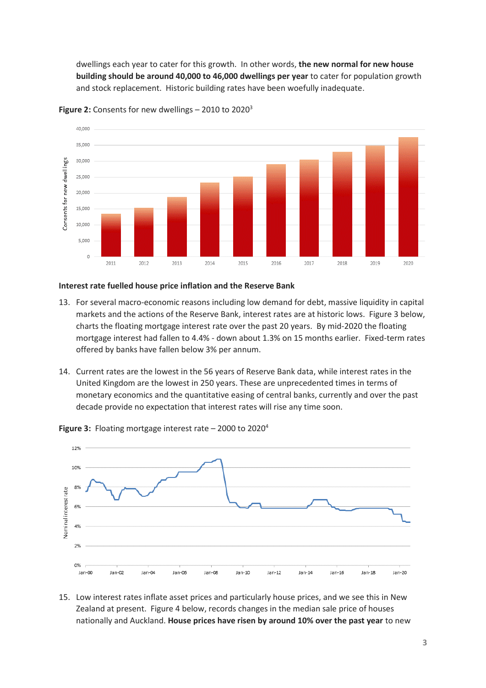dwellings each year to cater for this growth. In other words, **the new normal for new house building should be around 40,000 to 46,000 dwellings per year** to cater for population growth and stock replacement. Historic building rates have been woefully inadequate.



**Figure 2:** Consents for new dwellings – 2010 to 2020<sup>3</sup>

#### **Interest rate fuelled house price inflation and the Reserve Bank**

- 13. For several macro-economic reasons including low demand for debt, massive liquidity in capital markets and the actions of the Reserve Bank, interest rates are at historic lows. Figure 3 below, charts the floating mortgage interest rate over the past 20 years. By mid-2020 the floating mortgage interest had fallen to 4.4% - down about 1.3% on 15 months earlier. Fixed-term rates offered by banks have fallen below 3% per annum.
- 14. Current rates are the lowest in the 56 years of Reserve Bank data, while interest rates in the United Kingdom are the lowest in 250 years. These are unprecedented times in terms of monetary economics and the quantitative easing of central banks, currently and over the past decade provide no expectation that interest rates will rise any time soon.



**Figure 3:** Floating mortgage interest rate – 2000 to 2020<sup>4</sup>

15. Low interest rates inflate asset prices and particularly house prices, and we see this in New Zealand at present. Figure 4 below, records changes in the median sale price of houses nationally and Auckland. **House prices have risen by around 10% over the past year** to new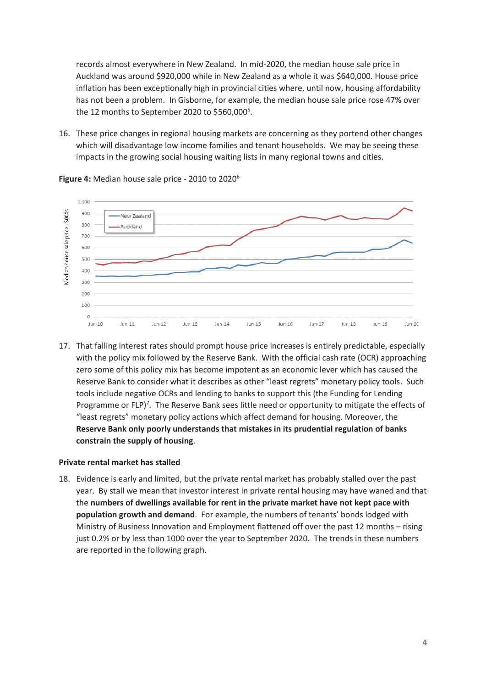records almost everywhere in New Zealand. In mid-2020, the median house sale price in Auckland was around \$920,000 while in New Zealand as a whole it was \$640,000. House price inflation has been exceptionally high in provincial cities where, until now, housing affordability has not been a problem. In Gisborne, for example, the median house sale price rose 47% over the 12 months to September 2020 to \$560,000<sup>5</sup>.

16. These price changes in regional housing markets are concerning as they portend other changes which will disadvantage low income families and tenant households. We may be seeing these impacts in the growing social housing waiting lists in many regional towns and cities.



**Figure 4:** Median house sale price - 2010 to 2020<sup>6</sup>

17. That falling interest rates should prompt house price increases is entirely predictable, especially with the policy mix followed by the Reserve Bank. With the official cash rate (OCR) approaching zero some of this policy mix has become impotent as an economic lever which has caused the Reserve Bank to consider what it describes as other "least regrets" monetary policy tools. Such tools include negative OCRs and lending to banks to support this (the Funding for Lending Programme or FLP)<sup>7</sup>. The Reserve Bank sees little need or opportunity to mitigate the effects of "least regrets" monetary policy actions which affect demand for housing. Moreover, the **Reserve Bank only poorly understands that mistakes in its prudential regulation of banks constrain the supply of housing**.

#### **Private rental market has stalled**

18. Evidence is early and limited, but the private rental market has probably stalled over the past year. By stall we mean that investor interest in private rental housing may have waned and that the **numbers of dwellings available for rent in the private market have not kept pace with population growth and demand**. For example, the numbers of tenants' bonds lodged with Ministry of Business Innovation and Employment flattened off over the past 12 months – rising just 0.2% or by less than 1000 over the year to September 2020. The trends in these numbers are reported in the following graph.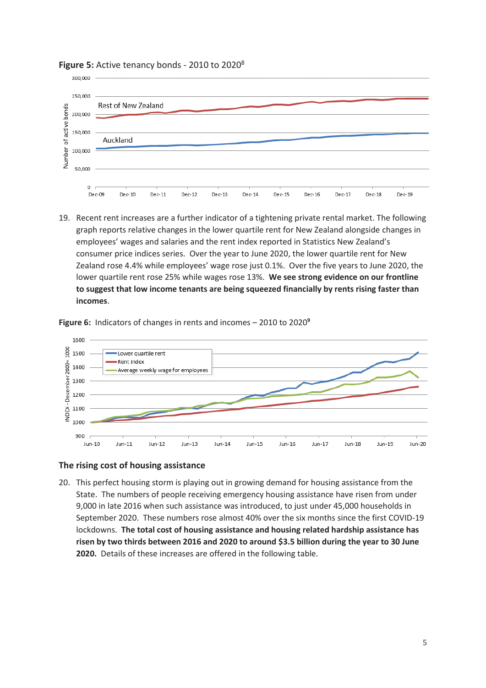

### **Figure 5:** Active tenancy bonds - 2010 to 2020<sup>8</sup>

19. Recent rent increases are a further indicator of a tightening private rental market. The following graph reports relative changes in the lower quartile rent for New Zealand alongside changes in employees' wages and salaries and the rent index reported in Statistics New Zealand's consumer price indices series. Over the year to June 2020, the lower quartile rent for New Zealand rose 4.4% while employees' wage rose just 0.1%. Over the five years to June 2020, the lower quartile rent rose 25% while wages rose 13%. **We see strong evidence on our frontline to suggest that low income tenants are being squeezed financially by rents rising faster than incomes**.

**Figure 6:** Indicators of changes in rents and incomes – 2010 to 2020**<sup>9</sup>**



# **The rising cost of housing assistance**

20. This perfect housing storm is playing out in growing demand for housing assistance from the State. The numbers of people receiving emergency housing assistance have risen from under 9,000 in late 2016 when such assistance was introduced, to just under 45,000 households in September 2020. These numbers rose almost 40% over the six months since the first COVID-19 lockdowns. **The total cost of housing assistance and housing related hardship assistance has risen by two thirds between 2016 and 2020 to around \$3.5 billion during the year to 30 June 2020.** Details of these increases are offered in the following table.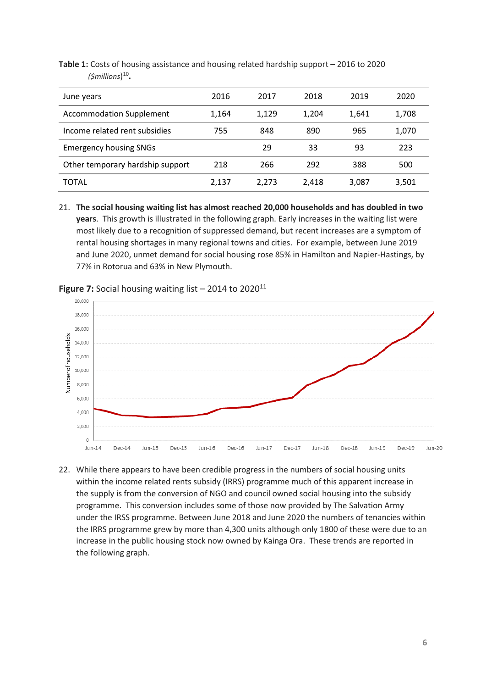| June years                       | 2016  | 2017  | 2018  | 2019  | 2020  |
|----------------------------------|-------|-------|-------|-------|-------|
| <b>Accommodation Supplement</b>  | 1.164 | 1.129 | 1.204 | 1.641 | 1,708 |
| Income related rent subsidies    | 755   | 848   | 890   | 965   | 1,070 |
| <b>Emergency housing SNGs</b>    |       | 29    | 33    | 93    | 223   |
| Other temporary hardship support | 218   | 266   | 292   | 388   | 500   |
| <b>TOTAL</b>                     | 2,137 | 2.273 | 2,418 | 3,087 | 3,501 |

**Table 1:** Costs of housing assistance and housing related hardship support – 2016 to 2020 *(\$millions*) 10 **.** 

21. **The social housing waiting list has almost reached 20,000 households and has doubled in two years**. This growth is illustrated in the following graph. Early increases in the waiting list were most likely due to a recognition of suppressed demand, but recent increases are a symptom of rental housing shortages in many regional towns and cities. For example, between June 2019 and June 2020, unmet demand for social housing rose 85% in Hamilton and Napier-Hastings, by 77% in Rotorua and 63% in New Plymouth.





22. While there appears to have been credible progress in the numbers of social housing units within the income related rents subsidy (IRRS) programme much of this apparent increase in the supply is from the conversion of NGO and council owned social housing into the subsidy programme. This conversion includes some of those now provided by The Salvation Army under the IRSS programme. Between June 2018 and June 2020 the numbers of tenancies within the IRRS programme grew by more than 4,300 units although only 1800 of these were due to an increase in the public housing stock now owned by Kainga Ora. These trends are reported in the following graph.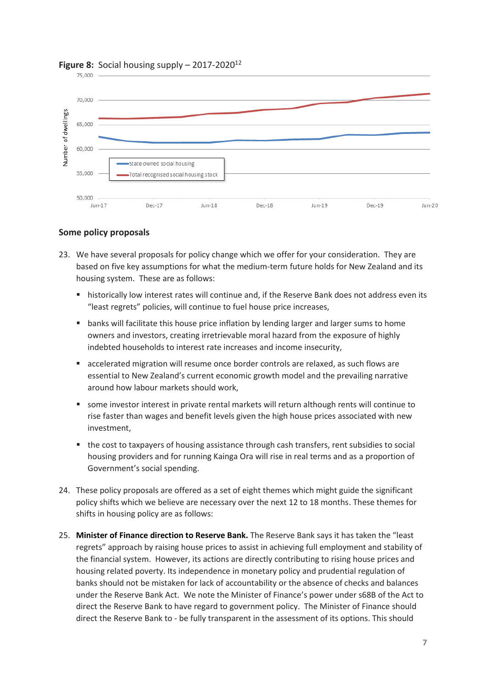

# **Figure 8:** Social housing supply – 2017-2020<sup>12</sup>

# **Some policy proposals**

- 23. We have several proposals for policy change which we offer for your consideration. They are based on five key assumptions for what the medium-term future holds for New Zealand and its housing system. These are as follows:
	- historically low interest rates will continue and, if the Reserve Bank does not address even its "least regrets" policies, will continue to fuel house price increases,
	- banks will facilitate this house price inflation by lending larger and larger sums to home owners and investors, creating irretrievable moral hazard from the exposure of highly indebted households to interest rate increases and income insecurity,
	- accelerated migration will resume once border controls are relaxed, as such flows are essential to New Zealand's current economic growth model and the prevailing narrative around how labour markets should work,
	- some investor interest in private rental markets will return although rents will continue to rise faster than wages and benefit levels given the high house prices associated with new investment,
	- the cost to taxpayers of housing assistance through cash transfers, rent subsidies to social housing providers and for running Kainga Ora will rise in real terms and as a proportion of Government's social spending.
- 24. These policy proposals are offered as a set of eight themes which might guide the significant policy shifts which we believe are necessary over the next 12 to 18 months. These themes for shifts in housing policy are as follows:
- 25. **Minister of Finance direction to Reserve Bank.** The Reserve Bank says it has taken the "least regrets" approach by raising house prices to assist in achieving full employment and stability of the financial system. However, its actions are directly contributing to rising house prices and housing related poverty. Its independence in monetary policy and prudential regulation of banks should not be mistaken for lack of accountability or the absence of checks and balances under the Reserve Bank Act. We note the Minister of Finance's power under s68B of the Act to direct the Reserve Bank to have regard to government policy. The Minister of Finance should direct the Reserve Bank to - be fully transparent in the assessment of its options. This should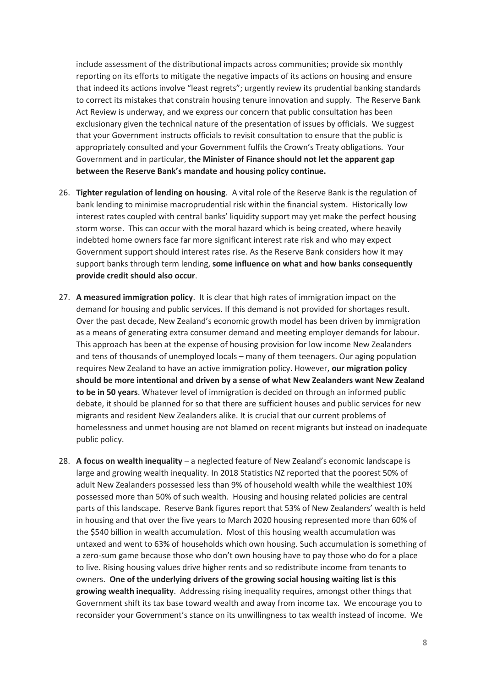include assessment of the distributional impacts across communities; provide six monthly reporting on its efforts to mitigate the negative impacts of its actions on housing and ensure that indeed its actions involve "least regrets"; urgently review its prudential banking standards to correct its mistakes that constrain housing tenure innovation and supply. The Reserve Bank Act Review is underway, and we express our concern that public consultation has been exclusionary given the technical nature of the presentation of issues by officials. We suggest that your Government instructs officials to revisit consultation to ensure that the public is appropriately consulted and your Government fulfils the Crown's Treaty obligations. Your Government and in particular, **the Minister of Finance should not let the apparent gap between the Reserve Bank's mandate and housing policy continue.**

- 26. **Tighter regulation of lending on housing**. A vital role of the Reserve Bank is the regulation of bank lending to minimise macroprudential risk within the financial system. Historically low interest rates coupled with central banks' liquidity support may yet make the perfect housing storm worse. This can occur with the moral hazard which is being created, where heavily indebted home owners face far more significant interest rate risk and who may expect Government support should interest rates rise. As the Reserve Bank considers how it may support banks through term lending, **some influence on what and how banks consequently provide credit should also occur**.
- 27. **A measured immigration policy**. It is clear that high rates of immigration impact on the demand for housing and public services. If this demand is not provided for shortages result. Over the past decade, New Zealand's economic growth model has been driven by immigration as a means of generating extra consumer demand and meeting employer demands for labour. This approach has been at the expense of housing provision for low income New Zealanders and tens of thousands of unemployed locals – many of them teenagers. Our aging population requires New Zealand to have an active immigration policy. However, **our migration policy should be more intentional and driven by a sense of what New Zealanders want New Zealand to be in 50 years**. Whatever level of immigration is decided on through an informed public debate, it should be planned for so that there are sufficient houses and public services for new migrants and resident New Zealanders alike. It is crucial that our current problems of homelessness and unmet housing are not blamed on recent migrants but instead on inadequate public policy.
- 28. **A focus on wealth inequality**  a neglected feature of New Zealand's economic landscape is large and growing wealth inequality. In 2018 Statistics NZ reported that the poorest 50% of adult New Zealanders possessed less than 9% of household wealth while the wealthiest 10% possessed more than 50% of such wealth. Housing and housing related policies are central parts of this landscape. Reserve Bank figures report that 53% of New Zealanders' wealth is held in housing and that over the five years to March 2020 housing represented more than 60% of the \$540 billion in wealth accumulation. Most of this housing wealth accumulation was untaxed and went to 63% of households which own housing. Such accumulation is something of a zero-sum game because those who don't own housing have to pay those who do for a place to live. Rising housing values drive higher rents and so redistribute income from tenants to owners. **One of the underlying drivers of the growing social housing waiting list is this growing wealth inequality**. Addressing rising inequality requires, amongst other things that Government shift its tax base toward wealth and away from income tax. We encourage you to reconsider your Government's stance on its unwillingness to tax wealth instead of income. We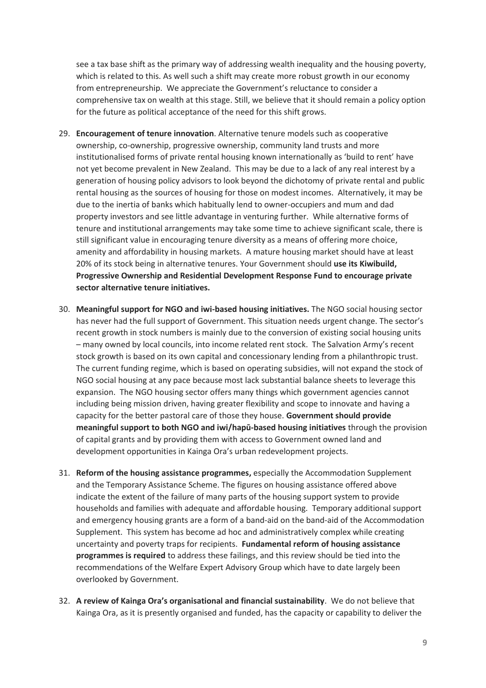see a tax base shift as the primary way of addressing wealth inequality and the housing poverty, which is related to this. As well such a shift may create more robust growth in our economy from entrepreneurship. We appreciate the Government's reluctance to consider a comprehensive tax on wealth at this stage. Still, we believe that it should remain a policy option for the future as political acceptance of the need for this shift grows.

- 29. **Encouragement of tenure innovation**. Alternative tenure models such as cooperative ownership, co-ownership, progressive ownership, community land trusts and more institutionalised forms of private rental housing known internationally as 'build to rent' have not yet become prevalent in New Zealand. This may be due to a lack of any real interest by a generation of housing policy advisors to look beyond the dichotomy of private rental and public rental housing as the sources of housing for those on modest incomes. Alternatively, it may be due to the inertia of banks which habitually lend to owner-occupiers and mum and dad property investors and see little advantage in venturing further. While alternative forms of tenure and institutional arrangements may take some time to achieve significant scale, there is still significant value in encouraging tenure diversity as a means of offering more choice, amenity and affordability in housing markets. A mature housing market should have at least 20% of its stock being in alternative tenures. Your Government should **use its Kiwibuild, Progressive Ownership and Residential Development Response Fund to encourage private sector alternative tenure initiatives.**
- 30. **Meaningful support for NGO and iwi-based housing initiatives.** The NGO social housing sector has never had the full support of Government. This situation needs urgent change. The sector's recent growth in stock numbers is mainly due to the conversion of existing social housing units – many owned by local councils, into income related rent stock. The Salvation Army's recent stock growth is based on its own capital and concessionary lending from a philanthropic trust. The current funding regime, which is based on operating subsidies, will not expand the stock of NGO social housing at any pace because most lack substantial balance sheets to leverage this expansion. The NGO housing sector offers many things which government agencies cannot including being mission driven, having greater flexibility and scope to innovate and having a capacity for the better pastoral care of those they house. **Government should provide meaningful support to both NGO and iwi/hapū-based housing initiatives** through the provision of capital grants and by providing them with access to Government owned land and development opportunities in Kainga Ora's urban redevelopment projects.
- 31. **Reform of the housing assistance programmes,** especially the Accommodation Supplement and the Temporary Assistance Scheme. The figures on housing assistance offered above indicate the extent of the failure of many parts of the housing support system to provide households and families with adequate and affordable housing. Temporary additional support and emergency housing grants are a form of a band-aid on the band-aid of the Accommodation Supplement. This system has become ad hoc and administratively complex while creating uncertainty and poverty traps for recipients. **Fundamental reform of housing assistance programmes is required** to address these failings, and this review should be tied into the recommendations of the Welfare Expert Advisory Group which have to date largely been overlooked by Government.
- 32. **A review of Kainga Ora's organisational and financial sustainability**. We do not believe that Kainga Ora, as it is presently organised and funded, has the capacity or capability to deliver the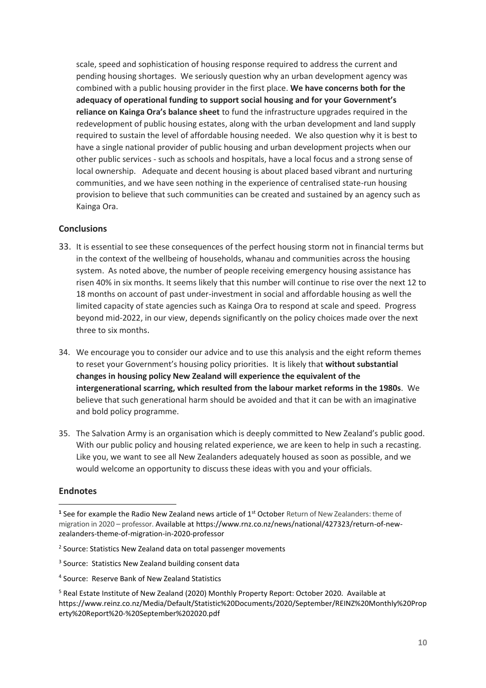scale, speed and sophistication of housing response required to address the current and pending housing shortages. We seriously question why an urban development agency was combined with a public housing provider in the first place. **We have concerns both for the adequacy of operational funding to support social housing and for your Government's reliance on Kainga Ora's balance sheet** to fund the infrastructure upgrades required in the redevelopment of public housing estates, along with the urban development and land supply required to sustain the level of affordable housing needed. We also question why it is best to have a single national provider of public housing and urban development projects when our other public services - such as schools and hospitals, have a local focus and a strong sense of local ownership. Adequate and decent housing is about placed based vibrant and nurturing communities, and we have seen nothing in the experience of centralised state-run housing provision to believe that such communities can be created and sustained by an agency such as Kainga Ora.

# **Conclusions**

- 33. It is essential to see these consequences of the perfect housing storm not in financial terms but in the context of the wellbeing of households, whanau and communities across the housing system. As noted above, the number of people receiving emergency housing assistance has risen 40% in six months. It seems likely that this number will continue to rise over the next 12 to 18 months on account of past under-investment in social and affordable housing as well the limited capacity of state agencies such as Kainga Ora to respond at scale and speed. Progress beyond mid-2022, in our view, depends significantly on the policy choices made over the next three to six months.
- 34. We encourage you to consider our advice and to use this analysis and the eight reform themes to reset your Government's housing policy priorities. It is likely that **without substantial changes in housing policy New Zealand will experience the equivalent of the intergenerational scarring, which resulted from the labour market reforms in the 1980s**. We believe that such generational harm should be avoided and that it can be with an imaginative and bold policy programme.
- 35. The Salvation Army is an organisation which is deeply committed to New Zealand's public good. With our public policy and housing related experience, we are keen to help in such a recasting. Like you, we want to see all New Zealanders adequately housed as soon as possible, and we would welcome an opportunity to discuss these ideas with you and your officials.

#### **Endnotes**

4 Source: Reserve Bank of New Zealand Statistics

<sup>&</sup>lt;sup>1</sup> See for example the Radio New Zealand news article of 1<sup>st</sup> October Return of New Zealanders: theme of migration in 2020 – professor. Available at https://www.rnz.co.nz/news/national/427323/return-of-newzealanders-theme-of-migration-in-2020-professor

<sup>&</sup>lt;sup>2</sup> Source: Statistics New Zealand data on total passenger movements

<sup>&</sup>lt;sup>3</sup> Source: Statistics New Zealand building consent data

<sup>5</sup> Real Estate Institute of New Zealand (2020) Monthly Property Report: October 2020. Available at https://www.reinz.co.nz/Media/Default/Statistic%20Documents/2020/September/REINZ%20Monthly%20Prop erty%20Report%20-%20September%202020.pdf